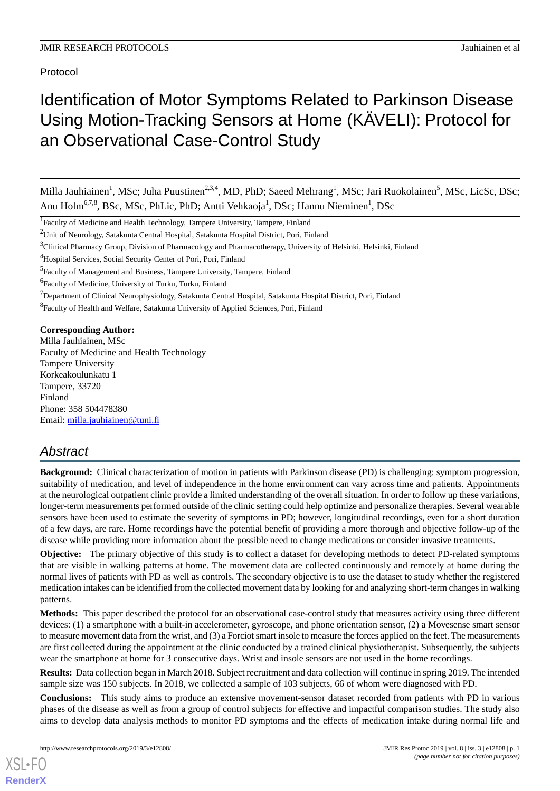Protocol

# Identification of Motor Symptoms Related to Parkinson Disease Using Motion-Tracking Sensors at Home (KÄVELI): Protocol for an Observational Case-Control Study

Milla Jauhiainen<sup>1</sup>, MSc; Juha Puustinen<sup>2,3,4</sup>, MD, PhD; Saeed Mehrang<sup>1</sup>, MSc; Jari Ruokolainen<sup>5</sup>, MSc, LicSc, DSc; Anu Holm<sup>6,7,8</sup>, BSc, MSc, PhLic, PhD; Antti Vehkaoja<sup>1</sup>, DSc; Hannu Nieminen<sup>1</sup>, DSc

<sup>8</sup> Faculty of Health and Welfare, Satakunta University of Applied Sciences, Pori, Finland

**Corresponding Author:**

Milla Jauhiainen, MSc Faculty of Medicine and Health Technology Tampere University Korkeakoulunkatu 1 Tampere, 33720 Finland Phone: 358 504478380 Email: [milla.jauhiainen@tuni.fi](mailto:milla.jauhiainen@tuni.fi)

# *Abstract*

**Background:** Clinical characterization of motion in patients with Parkinson disease (PD) is challenging: symptom progression, suitability of medication, and level of independence in the home environment can vary across time and patients. Appointments at the neurological outpatient clinic provide a limited understanding of the overall situation. In order to follow up these variations, longer-term measurements performed outside of the clinic setting could help optimize and personalize therapies. Several wearable sensors have been used to estimate the severity of symptoms in PD; however, longitudinal recordings, even for a short duration of a few days, are rare. Home recordings have the potential benefit of providing a more thorough and objective follow-up of the disease while providing more information about the possible need to change medications or consider invasive treatments.

**Objective:** The primary objective of this study is to collect a dataset for developing methods to detect PD-related symptoms that are visible in walking patterns at home. The movement data are collected continuously and remotely at home during the normal lives of patients with PD as well as controls. The secondary objective is to use the dataset to study whether the registered medication intakes can be identified from the collected movement data by looking for and analyzing short-term changes in walking patterns.

**Methods:** This paper described the protocol for an observational case-control study that measures activity using three different devices: (1) a smartphone with a built-in accelerometer, gyroscope, and phone orientation sensor, (2) a Movesense smart sensor to measure movement data from the wrist, and (3) a Forciot smart insole to measure the forces applied on the feet. The measurements are first collected during the appointment at the clinic conducted by a trained clinical physiotherapist. Subsequently, the subjects wear the smartphone at home for 3 consecutive days. Wrist and insole sensors are not used in the home recordings.

**Results:** Data collection began in March 2018. Subject recruitment and data collection will continue in spring 2019. The intended sample size was 150 subjects. In 2018, we collected a sample of 103 subjects, 66 of whom were diagnosed with PD.

**Conclusions:** This study aims to produce an extensive movement-sensor dataset recorded from patients with PD in various phases of the disease as well as from a group of control subjects for effective and impactful comparison studies. The study also aims to develop data analysis methods to monitor PD symptoms and the effects of medication intake during normal life and

<sup>&</sup>lt;sup>1</sup>Faculty of Medicine and Health Technology, Tampere University, Tampere, Finland

 $2$ Unit of Neurology, Satakunta Central Hospital, Satakunta Hospital District, Pori, Finland

<sup>&</sup>lt;sup>3</sup>Clinical Pharmacy Group, Division of Pharmacology and Pharmacotherapy, University of Helsinki, Helsinki, Finland

<sup>&</sup>lt;sup>4</sup>Hospital Services, Social Security Center of Pori, Pori, Finland

<sup>&</sup>lt;sup>5</sup> Faculty of Management and Business, Tampere University, Tampere, Finland

<sup>6</sup> Faculty of Medicine, University of Turku, Turku, Finland

<sup>&</sup>lt;sup>7</sup>Department of Clinical Neurophysiology, Satakunta Central Hospital, Satakunta Hospital District, Pori, Finland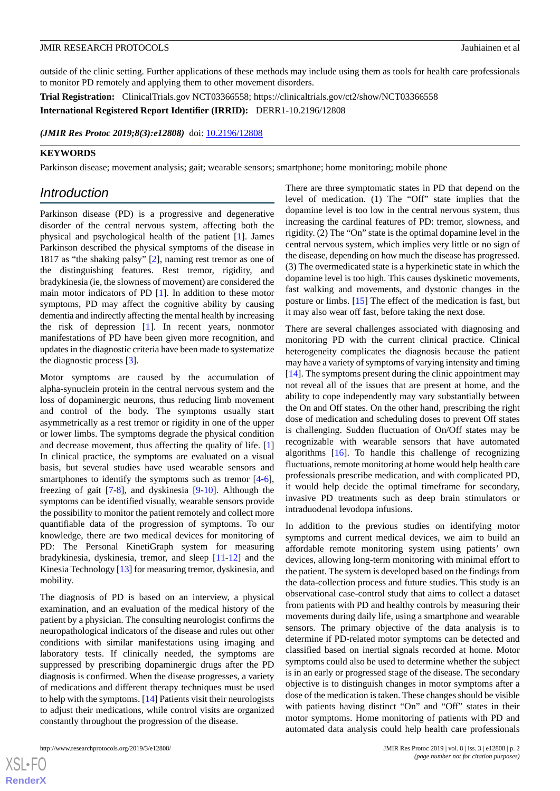outside of the clinic setting. Further applications of these methods may include using them as tools for health care professionals to monitor PD remotely and applying them to other movement disorders.

**Trial Registration:** ClinicalTrials.gov NCT03366558; https://clinicaltrials.gov/ct2/show/NCT03366558

**International Registered Report Identifier (IRRID):** DERR1-10.2196/12808

*(JMIR Res Protoc 2019;8(3):e12808)* doi:  $10.2196/12808$ 

#### **KEYWORDS**

Parkinson disease; movement analysis; gait; wearable sensors; smartphone; home monitoring; mobile phone

# *Introduction*

Parkinson disease (PD) is a progressive and degenerative disorder of the central nervous system, affecting both the physical and psychological health of the patient [[1\]](#page-8-0). James Parkinson described the physical symptoms of the disease in 1817 as "the shaking palsy" [[2\]](#page-9-0), naming rest tremor as one of the distinguishing features. Rest tremor, rigidity, and bradykinesia (ie, the slowness of movement) are considered the main motor indicators of PD [[1\]](#page-8-0). In addition to these motor symptoms, PD may affect the cognitive ability by causing dementia and indirectly affecting the mental health by increasing the risk of depression [[1\]](#page-8-0). In recent years, nonmotor manifestations of PD have been given more recognition, and updates in the diagnostic criteria have been made to systematize the diagnostic process [[3\]](#page-9-1).

Motor symptoms are caused by the accumulation of alpha-synuclein protein in the central nervous system and the loss of dopaminergic neurons, thus reducing limb movement and control of the body. The symptoms usually start asymmetrically as a rest tremor or rigidity in one of the upper or lower limbs. The symptoms degrade the physical condition and decrease movement, thus affecting the quality of life. [\[1](#page-8-0)] In clinical practice, the symptoms are evaluated on a visual basis, but several studies have used wearable sensors and smartphones to identify the symptoms such as tremor  $[4-6]$  $[4-6]$ , freezing of gait [[7-](#page-9-4)[8\]](#page-9-5), and dyskinesia [\[9](#page-9-6)-[10\]](#page-9-7). Although the symptoms can be identified visually, wearable sensors provide the possibility to monitor the patient remotely and collect more quantifiable data of the progression of symptoms. To our knowledge, there are two medical devices for monitoring of PD: The Personal KinetiGraph system for measuring bradykinesia, dyskinesia, tremor, and sleep [[11-](#page-9-8)[12\]](#page-9-9) and the Kinesia Technology [\[13](#page-9-10)] for measuring tremor, dyskinesia, and mobility.

The diagnosis of PD is based on an interview, a physical examination, and an evaluation of the medical history of the patient by a physician. The consulting neurologist confirms the neuropathological indicators of the disease and rules out other conditions with similar manifestations using imaging and laboratory tests. If clinically needed, the symptoms are suppressed by prescribing dopaminergic drugs after the PD diagnosis is confirmed. When the disease progresses, a variety of medications and different therapy techniques must be used to help with the symptoms. [\[14](#page-9-11)] Patients visit their neurologists to adjust their medications, while control visits are organized constantly throughout the progression of the disease.

 $XS$  $\cdot$ FC **[RenderX](http://www.renderx.com/)** There are three symptomatic states in PD that depend on the level of medication. (1) The "Off" state implies that the dopamine level is too low in the central nervous system, thus increasing the cardinal features of PD: tremor, slowness, and rigidity. (2) The "On" state is the optimal dopamine level in the central nervous system, which implies very little or no sign of the disease, depending on how much the disease has progressed. (3) The overmedicated state is a hyperkinetic state in which the dopamine level is too high. This causes dyskinetic movements, fast walking and movements, and dystonic changes in the posture or limbs. [[15\]](#page-9-12) The effect of the medication is fast, but it may also wear off fast, before taking the next dose.

There are several challenges associated with diagnosing and monitoring PD with the current clinical practice. Clinical heterogeneity complicates the diagnosis because the patient may have a variety of symptoms of varying intensity and timing [[14\]](#page-9-11). The symptoms present during the clinic appointment may not reveal all of the issues that are present at home, and the ability to cope independently may vary substantially between the On and Off states. On the other hand, prescribing the right dose of medication and scheduling doses to prevent Off states is challenging. Sudden fluctuation of On/Off states may be recognizable with wearable sensors that have automated algorithms  $[16]$  $[16]$ . To handle this challenge of recognizing fluctuations, remote monitoring at home would help health care professionals prescribe medication, and with complicated PD, it would help decide the optimal timeframe for secondary, invasive PD treatments such as deep brain stimulators or intraduodenal levodopa infusions.

In addition to the previous studies on identifying motor symptoms and current medical devices, we aim to build an affordable remote monitoring system using patients' own devices, allowing long-term monitoring with minimal effort to the patient. The system is developed based on the findings from the data-collection process and future studies. This study is an observational case-control study that aims to collect a dataset from patients with PD and healthy controls by measuring their movements during daily life, using a smartphone and wearable sensors. The primary objective of the data analysis is to determine if PD-related motor symptoms can be detected and classified based on inertial signals recorded at home. Motor symptoms could also be used to determine whether the subject is in an early or progressed stage of the disease. The secondary objective is to distinguish changes in motor symptoms after a dose of the medication is taken. These changes should be visible with patients having distinct "On" and "Off" states in their motor symptoms. Home monitoring of patients with PD and automated data analysis could help health care professionals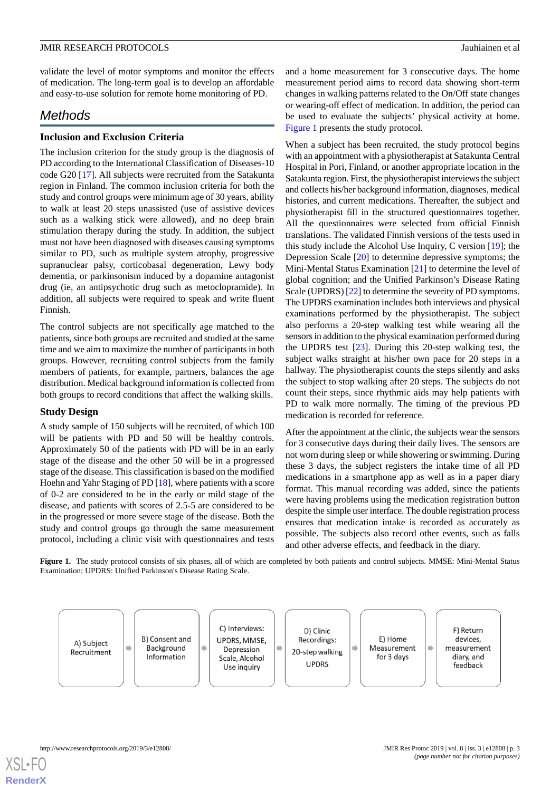validate the level of motor symptoms and monitor the effects of medication. The long-term goal is to develop an affordable and easy-to-use solution for remote home monitoring of PD.

# *Methods*

# **Inclusion and Exclusion Criteria**

The inclusion criterion for the study group is the diagnosis of PD according to the International Classification of Diseases-10 code G20 [\[17](#page-9-14)]. All subjects were recruited from the Satakunta region in Finland. The common inclusion criteria for both the study and control groups were minimum age of 30 years, ability to walk at least 20 steps unassisted (use of assistive devices such as a walking stick were allowed), and no deep brain stimulation therapy during the study. In addition, the subject must not have been diagnosed with diseases causing symptoms similar to PD, such as multiple system atrophy, progressive supranuclear palsy, corticobasal degeneration, Lewy body dementia, or parkinsonism induced by a dopamine antagonist drug (ie, an antipsychotic drug such as metoclopramide). In addition, all subjects were required to speak and write fluent Finnish.

The control subjects are not specifically age matched to the patients, since both groups are recruited and studied at the same time and we aim to maximize the number of participants in both groups. However, recruiting control subjects from the family members of patients, for example, partners, balances the age distribution. Medical background information is collected from both groups to record conditions that affect the walking skills.

# **Study Design**

A study sample of 150 subjects will be recruited, of which 100 will be patients with PD and 50 will be healthy controls. Approximately 50 of the patients with PD will be in an early stage of the disease and the other 50 will be in a progressed stage of the disease. This classification is based on the modified Hoehn and Yahr Staging of PD [\[18](#page-9-15)], where patients with a score of 0-2 are considered to be in the early or mild stage of the disease, and patients with scores of 2.5-5 are considered to be in the progressed or more severe stage of the disease. Both the study and control groups go through the same measurement protocol, including a clinic visit with questionnaires and tests

and a home measurement for 3 consecutive days. The home measurement period aims to record data showing short-term changes in walking patterns related to the On/Off state changes or wearing-off effect of medication. In addition, the period can be used to evaluate the subjects' physical activity at home. [Figure 1](#page-2-0) presents the study protocol.

When a subject has been recruited, the study protocol begins with an appointment with a physiotherapist at Satakunta Central Hospital in Pori, Finland, or another appropriate location in the Satakunta region. First, the physiotherapist interviews the subject and collects his/her background information, diagnoses, medical histories, and current medications. Thereafter, the subject and physiotherapist fill in the structured questionnaires together. All the questionnaires were selected from official Finnish translations. The validated Finnish versions of the tests used in this study include the Alcohol Use Inquiry, C version [[19\]](#page-9-16); the Depression Scale [\[20](#page-9-17)] to determine depressive symptoms; the Mini-Mental Status Examination [\[21](#page-9-18)] to determine the level of global cognition; and the Unified Parkinson's Disease Rating Scale (UPDRS) [\[22\]](#page-9-19) to determine the severity of PD symptoms. The UPDRS examination includes both interviews and physical examinations performed by the physiotherapist. The subject also performs a 20-step walking test while wearing all the sensors in addition to the physical examination performed during the UPDRS test [\[23](#page-9-20)]. During this 20-step walking test, the subject walks straight at his/her own pace for 20 steps in a hallway. The physiotherapist counts the steps silently and asks the subject to stop walking after 20 steps. The subjects do not count their steps, since rhythmic aids may help patients with PD to walk more normally. The timing of the previous PD medication is recorded for reference.

After the appointment at the clinic, the subjects wear the sensors for 3 consecutive days during their daily lives. The sensors are not worn during sleep or while showering or swimming. During these 3 days, the subject registers the intake time of all PD medications in a smartphone app as well as in a paper diary format. This manual recording was added, since the patients were having problems using the medication registration button despite the simple user interface. The double registration process ensures that medication intake is recorded as accurately as possible. The subjects also record other events, such as falls and other adverse effects, and feedback in the diary.

<span id="page-2-0"></span>**Figure 1.** The study protocol consists of six phases, all of which are completed by both patients and control subjects. MMSE: Mini-Mental Status Examination; UPDRS: Unified Parkinson's Disease Rating Scale.

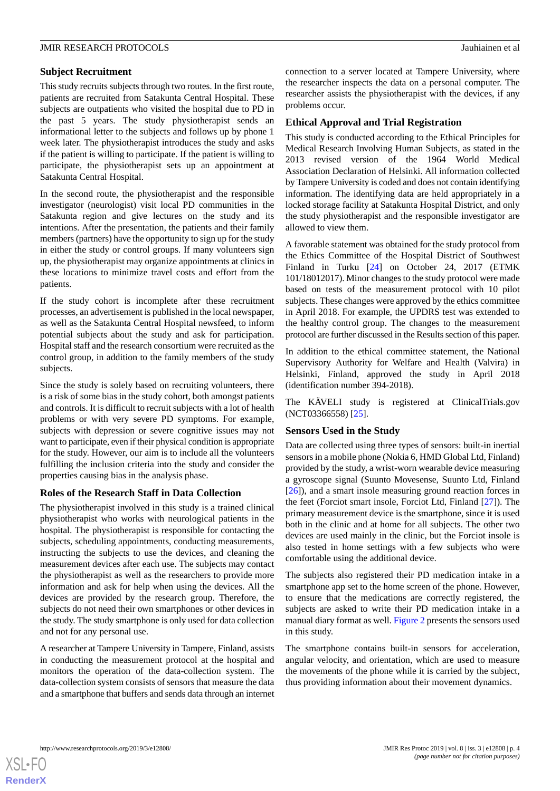# **Subject Recruitment**

This study recruits subjects through two routes. In the first route, patients are recruited from Satakunta Central Hospital. These subjects are outpatients who visited the hospital due to PD in the past 5 years. The study physiotherapist sends an informational letter to the subjects and follows up by phone 1 week later. The physiotherapist introduces the study and asks if the patient is willing to participate. If the patient is willing to participate, the physiotherapist sets up an appointment at Satakunta Central Hospital.

In the second route, the physiotherapist and the responsible investigator (neurologist) visit local PD communities in the Satakunta region and give lectures on the study and its intentions. After the presentation, the patients and their family members (partners) have the opportunity to sign up for the study in either the study or control groups. If many volunteers sign up, the physiotherapist may organize appointments at clinics in these locations to minimize travel costs and effort from the patients.

If the study cohort is incomplete after these recruitment processes, an advertisement is published in the local newspaper, as well as the Satakunta Central Hospital newsfeed, to inform potential subjects about the study and ask for participation. Hospital staff and the research consortium were recruited as the control group, in addition to the family members of the study subjects.

Since the study is solely based on recruiting volunteers, there is a risk of some bias in the study cohort, both amongst patients and controls. It is difficult to recruit subjects with a lot of health problems or with very severe PD symptoms. For example, subjects with depression or severe cognitive issues may not want to participate, even if their physical condition is appropriate for the study. However, our aim is to include all the volunteers fulfilling the inclusion criteria into the study and consider the properties causing bias in the analysis phase.

# **Roles of the Research Staff in Data Collection**

The physiotherapist involved in this study is a trained clinical physiotherapist who works with neurological patients in the hospital. The physiotherapist is responsible for contacting the subjects, scheduling appointments, conducting measurements, instructing the subjects to use the devices, and cleaning the measurement devices after each use. The subjects may contact the physiotherapist as well as the researchers to provide more information and ask for help when using the devices. All the devices are provided by the research group. Therefore, the subjects do not need their own smartphones or other devices in the study. The study smartphone is only used for data collection and not for any personal use.

A researcher at Tampere University in Tampere, Finland, assists in conducting the measurement protocol at the hospital and monitors the operation of the data-collection system. The data-collection system consists of sensors that measure the data and a smartphone that buffers and sends data through an internet connection to a server located at Tampere University, where the researcher inspects the data on a personal computer. The researcher assists the physiotherapist with the devices, if any problems occur.

# **Ethical Approval and Trial Registration**

This study is conducted according to the Ethical Principles for Medical Research Involving Human Subjects, as stated in the 2013 revised version of the 1964 World Medical Association Declaration of Helsinki. All information collected by Tampere University is coded and does not contain identifying information. The identifying data are held appropriately in a locked storage facility at Satakunta Hospital District, and only the study physiotherapist and the responsible investigator are allowed to view them.

A favorable statement was obtained for the study protocol from the Ethics Committee of the Hospital District of Southwest Finland in Turku [\[24](#page-9-21)] on October 24, 2017 (ETMK 101/18012017). Minor changes to the study protocol were made based on tests of the measurement protocol with 10 pilot subjects. These changes were approved by the ethics committee in April 2018. For example, the UPDRS test was extended to the healthy control group. The changes to the measurement protocol are further discussed in the Results section of this paper.

In addition to the ethical committee statement, the National Supervisory Authority for Welfare and Health (Valvira) in Helsinki, Finland, approved the study in April 2018 (identification number 394-2018).

The KÄVELI study is registered at ClinicalTrials.gov (NCT03366558) [\[25](#page-10-0)].

# **Sensors Used in the Study**

Data are collected using three types of sensors: built-in inertial sensors in a mobile phone (Nokia 6, HMD Global Ltd, Finland) provided by the study, a wrist-worn wearable device measuring a gyroscope signal (Suunto Movesense, Suunto Ltd, Finland [[26\]](#page-10-1)), and a smart insole measuring ground reaction forces in the feet (Forciot smart insole, Forciot Ltd, Finland [[27\]](#page-10-2)). The primary measurement device is the smartphone, since it is used both in the clinic and at home for all subjects. The other two devices are used mainly in the clinic, but the Forciot insole is also tested in home settings with a few subjects who were comfortable using the additional device.

The subjects also registered their PD medication intake in a smartphone app set to the home screen of the phone. However, to ensure that the medications are correctly registered, the subjects are asked to write their PD medication intake in a manual diary format as well. [Figure 2](#page-4-0) presents the sensors used in this study.

The smartphone contains built-in sensors for acceleration, angular velocity, and orientation, which are used to measure the movements of the phone while it is carried by the subject, thus providing information about their movement dynamics.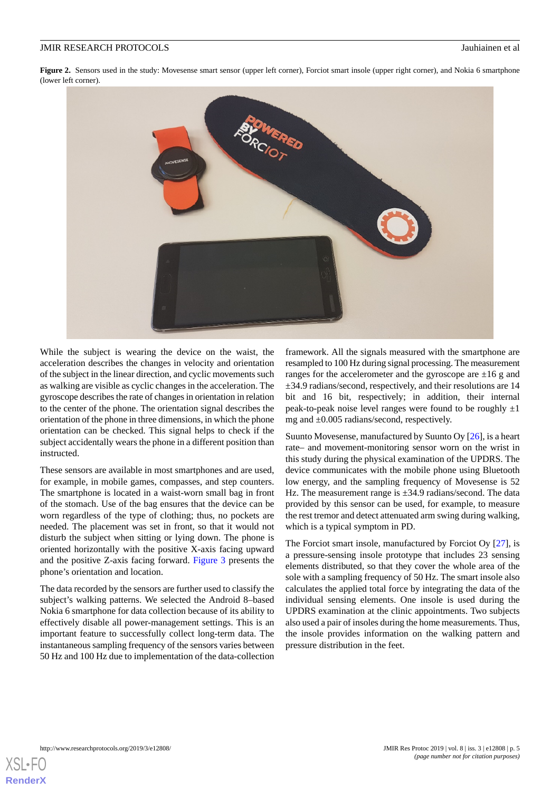<span id="page-4-0"></span>Figure 2. Sensors used in the study: Movesense smart sensor (upper left corner), Forciot smart insole (upper right corner), and Nokia 6 smartphone (lower left corner).



While the subject is wearing the device on the waist, the acceleration describes the changes in velocity and orientation of the subject in the linear direction, and cyclic movements such as walking are visible as cyclic changes in the acceleration. The gyroscope describes the rate of changes in orientation in relation to the center of the phone. The orientation signal describes the orientation of the phone in three dimensions, in which the phone orientation can be checked. This signal helps to check if the subject accidentally wears the phone in a different position than instructed.

These sensors are available in most smartphones and are used, for example, in mobile games, compasses, and step counters. The smartphone is located in a waist-worn small bag in front of the stomach. Use of the bag ensures that the device can be worn regardless of the type of clothing; thus, no pockets are needed. The placement was set in front, so that it would not disturb the subject when sitting or lying down. The phone is oriented horizontally with the positive X-axis facing upward and the positive Z-axis facing forward. [Figure 3](#page-5-0) presents the phone's orientation and location.

The data recorded by the sensors are further used to classify the subject's walking patterns. We selected the Android 8–based Nokia 6 smartphone for data collection because of its ability to effectively disable all power-management settings. This is an important feature to successfully collect long-term data. The instantaneous sampling frequency of the sensors varies between 50 Hz and 100 Hz due to implementation of the data-collection

framework. All the signals measured with the smartphone are resampled to 100 Hz during signal processing. The measurement ranges for the accelerometer and the gyroscope are  $\pm 16$  g and ±34.9 radians/second, respectively, and their resolutions are 14 bit and 16 bit, respectively; in addition, their internal peak-to-peak noise level ranges were found to be roughly  $\pm 1$ mg and ±0.005 radians/second, respectively.

Suunto Movesense, manufactured by Suunto Oy [[26\]](#page-10-1), is a heart rate– and movement-monitoring sensor worn on the wrist in this study during the physical examination of the UPDRS. The device communicates with the mobile phone using Bluetooth low energy, and the sampling frequency of Movesense is 52 Hz. The measurement range is  $\pm 34.9$  radians/second. The data provided by this sensor can be used, for example, to measure the rest tremor and detect attenuated arm swing during walking, which is a typical symptom in PD.

The Forciot smart insole, manufactured by Forciot Oy [[27\]](#page-10-2), is a pressure-sensing insole prototype that includes 23 sensing elements distributed, so that they cover the whole area of the sole with a sampling frequency of 50 Hz. The smart insole also calculates the applied total force by integrating the data of the individual sensing elements. One insole is used during the UPDRS examination at the clinic appointments. Two subjects also used a pair of insoles during the home measurements. Thus, the insole provides information on the walking pattern and pressure distribution in the feet.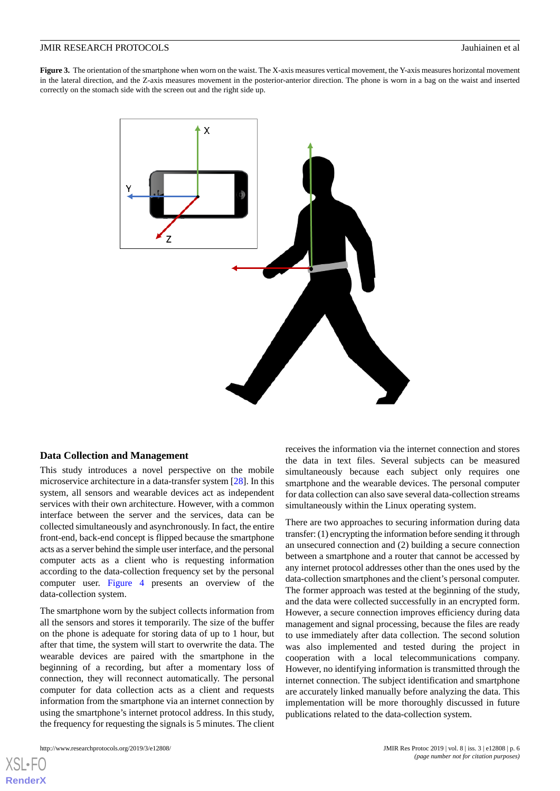<span id="page-5-0"></span>**Figure 3.** The orientation of the smartphone when worn on the waist. The X-axis measures vertical movement, the Y-axis measures horizontal movement in the lateral direction, and the Z-axis measures movement in the posterior-anterior direction. The phone is worn in a bag on the waist and inserted correctly on the stomach side with the screen out and the right side up.



#### **Data Collection and Management**

This study introduces a novel perspective on the mobile microservice architecture in a data-transfer system [[28\]](#page-10-3). In this system, all sensors and wearable devices act as independent services with their own architecture. However, with a common interface between the server and the services, data can be collected simultaneously and asynchronously. In fact, the entire front-end, back-end concept is flipped because the smartphone acts as a server behind the simple user interface, and the personal computer acts as a client who is requesting information according to the data-collection frequency set by the personal computer user. [Figure 4](#page-6-0) presents an overview of the data-collection system.

The smartphone worn by the subject collects information from all the sensors and stores it temporarily. The size of the buffer on the phone is adequate for storing data of up to 1 hour, but after that time, the system will start to overwrite the data. The wearable devices are paired with the smartphone in the beginning of a recording, but after a momentary loss of connection, they will reconnect automatically. The personal computer for data collection acts as a client and requests information from the smartphone via an internet connection by using the smartphone's internet protocol address. In this study, the frequency for requesting the signals is 5 minutes. The client

[XSL](http://www.w3.org/Style/XSL)•FO **[RenderX](http://www.renderx.com/)**

receives the information via the internet connection and stores the data in text files. Several subjects can be measured simultaneously because each subject only requires one smartphone and the wearable devices. The personal computer for data collection can also save several data-collection streams simultaneously within the Linux operating system.

There are two approaches to securing information during data transfer: (1) encrypting the information before sending it through an unsecured connection and (2) building a secure connection between a smartphone and a router that cannot be accessed by any internet protocol addresses other than the ones used by the data-collection smartphones and the client's personal computer. The former approach was tested at the beginning of the study, and the data were collected successfully in an encrypted form. However, a secure connection improves efficiency during data management and signal processing, because the files are ready to use immediately after data collection. The second solution was also implemented and tested during the project in cooperation with a local telecommunications company. However, no identifying information is transmitted through the internet connection. The subject identification and smartphone are accurately linked manually before analyzing the data. This implementation will be more thoroughly discussed in future publications related to the data-collection system.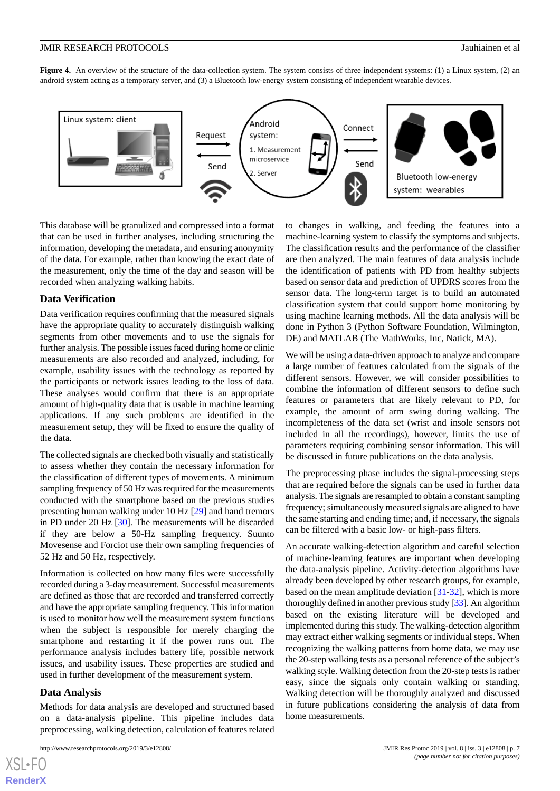<span id="page-6-0"></span>**Figure 4.** An overview of the structure of the data-collection system. The system consists of three independent systems: (1) a Linux system, (2) an android system acting as a temporary server, and (3) a Bluetooth low-energy system consisting of independent wearable devices.



This database will be granulized and compressed into a format that can be used in further analyses, including structuring the information, developing the metadata, and ensuring anonymity of the data. For example, rather than knowing the exact date of the measurement, only the time of the day and season will be recorded when analyzing walking habits.

#### **Data Verification**

Data verification requires confirming that the measured signals have the appropriate quality to accurately distinguish walking segments from other movements and to use the signals for further analysis. The possible issues faced during home or clinic measurements are also recorded and analyzed, including, for example, usability issues with the technology as reported by the participants or network issues leading to the loss of data. These analyses would confirm that there is an appropriate amount of high-quality data that is usable in machine learning applications. If any such problems are identified in the measurement setup, they will be fixed to ensure the quality of the data.

The collected signals are checked both visually and statistically to assess whether they contain the necessary information for the classification of different types of movements. A minimum sampling frequency of 50 Hz was required for the measurements conducted with the smartphone based on the previous studies presenting human walking under 10 Hz [\[29](#page-10-4)] and hand tremors in PD under 20 Hz [\[30](#page-10-5)]. The measurements will be discarded if they are below a 50-Hz sampling frequency. Suunto Movesense and Forciot use their own sampling frequencies of 52 Hz and 50 Hz, respectively.

Information is collected on how many files were successfully recorded during a 3-day measurement. Successful measurements are defined as those that are recorded and transferred correctly and have the appropriate sampling frequency. This information is used to monitor how well the measurement system functions when the subject is responsible for merely charging the smartphone and restarting it if the power runs out. The performance analysis includes battery life, possible network issues, and usability issues. These properties are studied and used in further development of the measurement system.

# **Data Analysis**

[XSL](http://www.w3.org/Style/XSL)•F **[RenderX](http://www.renderx.com/)**

Methods for data analysis are developed and structured based on a data-analysis pipeline. This pipeline includes data preprocessing, walking detection, calculation of features related

to changes in walking, and feeding the features into a machine-learning system to classify the symptoms and subjects. The classification results and the performance of the classifier are then analyzed. The main features of data analysis include the identification of patients with PD from healthy subjects based on sensor data and prediction of UPDRS scores from the sensor data. The long-term target is to build an automated classification system that could support home monitoring by using machine learning methods. All the data analysis will be done in Python 3 (Python Software Foundation, Wilmington, DE) and MATLAB (The MathWorks, Inc, Natick, MA).

We will be using a data-driven approach to analyze and compare a large number of features calculated from the signals of the different sensors. However, we will consider possibilities to combine the information of different sensors to define such features or parameters that are likely relevant to PD, for example, the amount of arm swing during walking. The incompleteness of the data set (wrist and insole sensors not included in all the recordings), however, limits the use of parameters requiring combining sensor information. This will be discussed in future publications on the data analysis.

The preprocessing phase includes the signal-processing steps that are required before the signals can be used in further data analysis. The signals are resampled to obtain a constant sampling frequency; simultaneously measured signals are aligned to have the same starting and ending time; and, if necessary, the signals can be filtered with a basic low- or high-pass filters.

An accurate walking-detection algorithm and careful selection of machine-learning features are important when developing the data-analysis pipeline. Activity-detection algorithms have already been developed by other research groups, for example, based on the mean amplitude deviation [[31-](#page-10-6)[32](#page-10-7)], which is more thoroughly defined in another previous study [\[33\]](#page-10-8). An algorithm based on the existing literature will be developed and implemented during this study. The walking-detection algorithm may extract either walking segments or individual steps. When recognizing the walking patterns from home data, we may use the 20-step walking tests as a personal reference of the subject's walking style. Walking detection from the 20-step tests is rather easy, since the signals only contain walking or standing. Walking detection will be thoroughly analyzed and discussed in future publications considering the analysis of data from home measurements.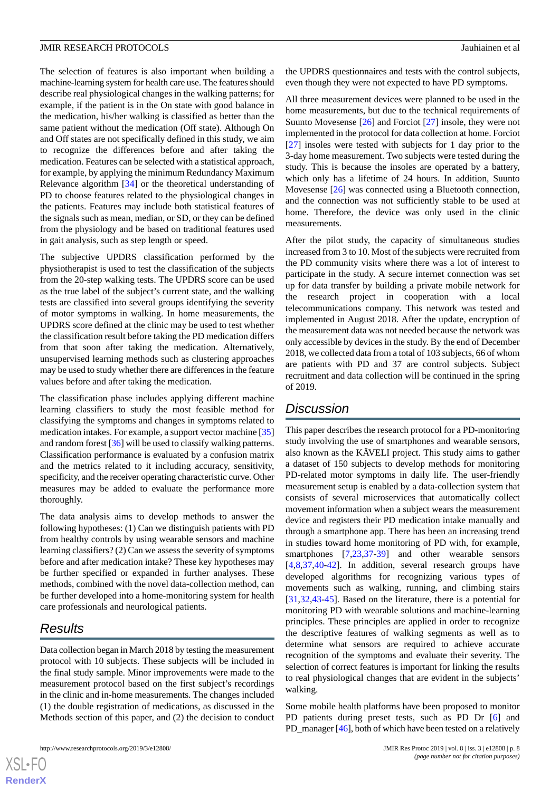The selection of features is also important when building a machine-learning system for health care use. The features should describe real physiological changes in the walking patterns; for example, if the patient is in the On state with good balance in the medication, his/her walking is classified as better than the same patient without the medication (Off state). Although On and Off states are not specifically defined in this study, we aim to recognize the differences before and after taking the medication. Features can be selected with a statistical approach, for example, by applying the minimum Redundancy Maximum Relevance algorithm [[34\]](#page-10-9) or the theoretical understanding of PD to choose features related to the physiological changes in the patients. Features may include both statistical features of the signals such as mean, median, or SD, or they can be defined from the physiology and be based on traditional features used in gait analysis, such as step length or speed.

The subjective UPDRS classification performed by the physiotherapist is used to test the classification of the subjects from the 20-step walking tests. The UPDRS score can be used as the true label of the subject's current state, and the walking tests are classified into several groups identifying the severity of motor symptoms in walking. In home measurements, the UPDRS score defined at the clinic may be used to test whether the classification result before taking the PD medication differs from that soon after taking the medication. Alternatively, unsupervised learning methods such as clustering approaches may be used to study whether there are differences in the feature values before and after taking the medication.

The classification phase includes applying different machine learning classifiers to study the most feasible method for classifying the symptoms and changes in symptoms related to medication intakes. For example, a support vector machine [\[35](#page-10-10)] and random forest [[36\]](#page-10-11) will be used to classify walking patterns. Classification performance is evaluated by a confusion matrix and the metrics related to it including accuracy, sensitivity, specificity, and the receiver operating characteristic curve. Other measures may be added to evaluate the performance more thoroughly.

The data analysis aims to develop methods to answer the following hypotheses: (1) Can we distinguish patients with PD from healthy controls by using wearable sensors and machine learning classifiers? (2) Can we assess the severity of symptoms before and after medication intake? These key hypotheses may be further specified or expanded in further analyses. These methods, combined with the novel data-collection method, can be further developed into a home-monitoring system for health care professionals and neurological patients.

# *Results*

Data collection began in March 2018 by testing the measurement protocol with 10 subjects. These subjects will be included in the final study sample. Minor improvements were made to the measurement protocol based on the first subject's recordings in the clinic and in-home measurements. The changes included (1) the double registration of medications, as discussed in the Methods section of this paper, and (2) the decision to conduct

the UPDRS questionnaires and tests with the control subjects, even though they were not expected to have PD symptoms.

All three measurement devices were planned to be used in the home measurements, but due to the technical requirements of Suunto Movesense [\[26](#page-10-1)] and Forciot [\[27](#page-10-2)] insole, they were not implemented in the protocol for data collection at home. Forciot [[27\]](#page-10-2) insoles were tested with subjects for 1 day prior to the 3-day home measurement. Two subjects were tested during the study. This is because the insoles are operated by a battery, which only has a lifetime of 24 hours. In addition, Suunto Movesense [\[26](#page-10-1)] was connected using a Bluetooth connection, and the connection was not sufficiently stable to be used at home. Therefore, the device was only used in the clinic measurements.

After the pilot study, the capacity of simultaneous studies increased from 3 to 10. Most of the subjects were recruited from the PD community visits where there was a lot of interest to participate in the study. A secure internet connection was set up for data transfer by building a private mobile network for the research project in cooperation with a local telecommunications company. This network was tested and implemented in August 2018. After the update, encryption of the measurement data was not needed because the network was only accessible by devices in the study. By the end of December 2018, we collected data from a total of 103 subjects, 66 of whom are patients with PD and 37 are control subjects. Subject recruitment and data collection will be continued in the spring of 2019.

# *Discussion*

This paper describes the research protocol for a PD-monitoring study involving the use of smartphones and wearable sensors, also known as the KÄVELI project. This study aims to gather a dataset of 150 subjects to develop methods for monitoring PD-related motor symptoms in daily life. The user-friendly measurement setup is enabled by a data-collection system that consists of several microservices that automatically collect movement information when a subject wears the measurement device and registers their PD medication intake manually and through a smartphone app. There has been an increasing trend in studies toward home monitoring of PD with, for example, smartphones [\[7](#page-9-4),[23,](#page-9-20)[37](#page-10-12)[-39](#page-10-13)] and other wearable sensors [[4](#page-9-2)[,8,](#page-9-5)[37](#page-10-12)[,40](#page-10-14)-[42\]](#page-10-15). In addition, several research groups have developed algorithms for recognizing various types of movements such as walking, running, and climbing stairs [[31,](#page-10-6)[32,](#page-10-7)[43](#page-10-16)[-45](#page-10-17)]. Based on the literature, there is a potential for monitoring PD with wearable solutions and machine-learning principles. These principles are applied in order to recognize the descriptive features of walking segments as well as to determine what sensors are required to achieve accurate recognition of the symptoms and evaluate their severity. The selection of correct features is important for linking the results to real physiological changes that are evident in the subjects' walking.

Some mobile health platforms have been proposed to monitor PD patients during preset tests, such as PD Dr [\[6](#page-9-3)] and PD\_manager [\[46\]](#page-10-18), both of which have been tested on a relatively

```
XS-FO
RenderX
```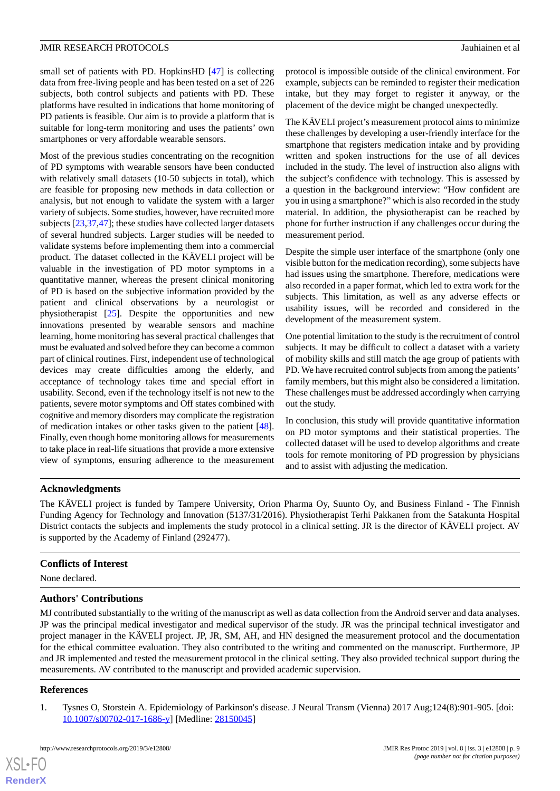small set of patients with PD. HopkinsHD [[47\]](#page-11-0) is collecting data from free-living people and has been tested on a set of 226 subjects, both control subjects and patients with PD. These platforms have resulted in indications that home monitoring of PD patients is feasible. Our aim is to provide a platform that is suitable for long-term monitoring and uses the patients' own smartphones or very affordable wearable sensors.

Most of the previous studies concentrating on the recognition of PD symptoms with wearable sensors have been conducted with relatively small datasets (10-50 subjects in total), which are feasible for proposing new methods in data collection or analysis, but not enough to validate the system with a larger variety of subjects. Some studies, however, have recruited more subjects [\[23](#page-9-20),[37,](#page-10-12)[47](#page-11-0)]; these studies have collected larger datasets of several hundred subjects. Larger studies will be needed to validate systems before implementing them into a commercial product. The dataset collected in the KÄVELI project will be valuable in the investigation of PD motor symptoms in a quantitative manner, whereas the present clinical monitoring of PD is based on the subjective information provided by the patient and clinical observations by a neurologist or physiotherapist [[25\]](#page-10-0). Despite the opportunities and new innovations presented by wearable sensors and machine learning, home monitoring has several practical challenges that must be evaluated and solved before they can become a common part of clinical routines. First, independent use of technological devices may create difficulties among the elderly, and acceptance of technology takes time and special effort in usability. Second, even if the technology itself is not new to the patients, severe motor symptoms and Off states combined with cognitive and memory disorders may complicate the registration of medication intakes or other tasks given to the patient [[48\]](#page-11-1). Finally, even though home monitoring allows for measurements to take place in real-life situations that provide a more extensive view of symptoms, ensuring adherence to the measurement

protocol is impossible outside of the clinical environment. For example, subjects can be reminded to register their medication intake, but they may forget to register it anyway, or the placement of the device might be changed unexpectedly.

The KÄVELI project's measurement protocol aims to minimize these challenges by developing a user-friendly interface for the smartphone that registers medication intake and by providing written and spoken instructions for the use of all devices included in the study. The level of instruction also aligns with the subject's confidence with technology. This is assessed by a question in the background interview: "How confident are you in using a smartphone?" which is also recorded in the study material. In addition, the physiotherapist can be reached by phone for further instruction if any challenges occur during the measurement period.

Despite the simple user interface of the smartphone (only one visible button for the medication recording), some subjects have had issues using the smartphone. Therefore, medications were also recorded in a paper format, which led to extra work for the subjects. This limitation, as well as any adverse effects or usability issues, will be recorded and considered in the development of the measurement system.

One potential limitation to the study is the recruitment of control subjects. It may be difficult to collect a dataset with a variety of mobility skills and still match the age group of patients with PD. We have recruited control subjects from among the patients' family members, but this might also be considered a limitation. These challenges must be addressed accordingly when carrying out the study.

In conclusion, this study will provide quantitative information on PD motor symptoms and their statistical properties. The collected dataset will be used to develop algorithms and create tools for remote monitoring of PD progression by physicians and to assist with adjusting the medication.

# **Acknowledgments**

The KÄVELI project is funded by Tampere University, Orion Pharma Oy, Suunto Oy, and Business Finland - The Finnish Funding Agency for Technology and Innovation (5137/31/2016). Physiotherapist Terhi Pakkanen from the Satakunta Hospital District contacts the subjects and implements the study protocol in a clinical setting. JR is the director of KÄVELI project. AV is supported by the Academy of Finland (292477).

# **Conflicts of Interest**

None declared.

# **Authors' Contributions**

<span id="page-8-0"></span>MJ contributed substantially to the writing of the manuscript as well as data collection from the Android server and data analyses. JP was the principal medical investigator and medical supervisor of the study. JR was the principal technical investigator and project manager in the KÄVELI project. JP, JR, SM, AH, and HN designed the measurement protocol and the documentation for the ethical committee evaluation. They also contributed to the writing and commented on the manuscript. Furthermore, JP and JR implemented and tested the measurement protocol in the clinical setting. They also provided technical support during the measurements. AV contributed to the manuscript and provided academic supervision.

# **References**

[XSL](http://www.w3.org/Style/XSL)•FO **[RenderX](http://www.renderx.com/)**

1. Tysnes O, Storstein A. Epidemiology of Parkinson's disease. J Neural Transm (Vienna) 2017 Aug;124(8):901-905. [doi: [10.1007/s00702-017-1686-y\]](http://dx.doi.org/10.1007/s00702-017-1686-y) [Medline: [28150045](http://www.ncbi.nlm.nih.gov/entrez/query.fcgi?cmd=Retrieve&db=PubMed&list_uids=28150045&dopt=Abstract)]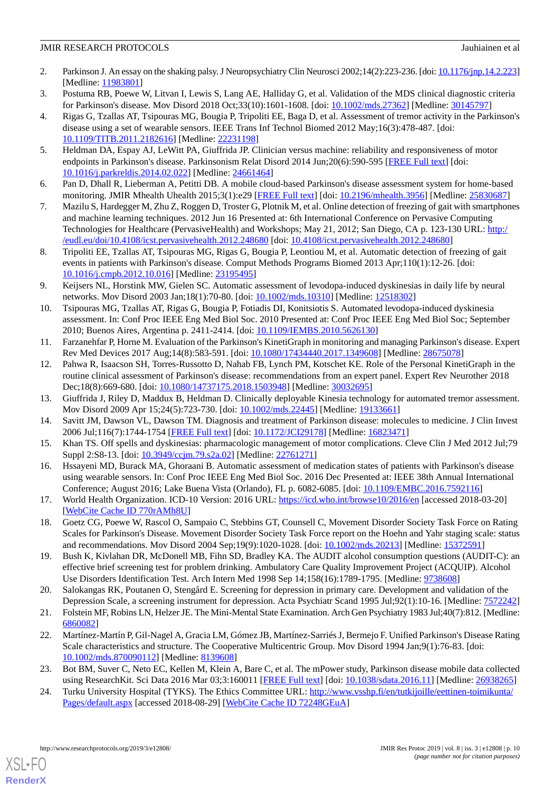- <span id="page-9-0"></span>2. Parkinson J. An essay on the shaking palsy. J Neuropsychiatry Clin Neurosci 2002;14(2):223-236. [doi: [10.1176/jnp.14.2.223\]](http://dx.doi.org/10.1176/jnp.14.2.223) [Medline: [11983801](http://www.ncbi.nlm.nih.gov/entrez/query.fcgi?cmd=Retrieve&db=PubMed&list_uids=11983801&dopt=Abstract)]
- <span id="page-9-2"></span><span id="page-9-1"></span>3. Postuma RB, Poewe W, Litvan I, Lewis S, Lang AE, Halliday G, et al. Validation of the MDS clinical diagnostic criteria for Parkinson's disease. Mov Disord 2018 Oct;33(10):1601-1608. [doi: [10.1002/mds.27362\]](http://dx.doi.org/10.1002/mds.27362) [Medline: [30145797\]](http://www.ncbi.nlm.nih.gov/entrez/query.fcgi?cmd=Retrieve&db=PubMed&list_uids=30145797&dopt=Abstract)
- 4. Rigas G, Tzallas AT, Tsipouras MG, Bougia P, Tripoliti EE, Baga D, et al. Assessment of tremor activity in the Parkinson's disease using a set of wearable sensors. IEEE Trans Inf Technol Biomed 2012 May;16(3):478-487. [doi: [10.1109/TITB.2011.2182616](http://dx.doi.org/10.1109/TITB.2011.2182616)] [Medline: [22231198\]](http://www.ncbi.nlm.nih.gov/entrez/query.fcgi?cmd=Retrieve&db=PubMed&list_uids=22231198&dopt=Abstract)
- <span id="page-9-3"></span>5. Heldman DA, Espay AJ, LeWitt PA, Giuffrida JP. Clinician versus machine: reliability and responsiveness of motor endpoints in Parkinson's disease. Parkinsonism Relat Disord 2014 Jun;20(6):590-595 [\[FREE Full text](http://europepmc.org/abstract/MED/24661464)] [doi: [10.1016/j.parkreldis.2014.02.022\]](http://dx.doi.org/10.1016/j.parkreldis.2014.02.022) [Medline: [24661464](http://www.ncbi.nlm.nih.gov/entrez/query.fcgi?cmd=Retrieve&db=PubMed&list_uids=24661464&dopt=Abstract)]
- <span id="page-9-4"></span>6. Pan D, Dhall R, Lieberman A, Petitti DB. A mobile cloud-based Parkinson's disease assessment system for home-based monitoring. JMIR Mhealth Uhealth 2015;3(1):e29 [[FREE Full text](http://mhealth.jmir.org/2015/1/e29/)] [doi: [10.2196/mhealth.3956](http://dx.doi.org/10.2196/mhealth.3956)] [Medline: [25830687](http://www.ncbi.nlm.nih.gov/entrez/query.fcgi?cmd=Retrieve&db=PubMed&list_uids=25830687&dopt=Abstract)]
- <span id="page-9-5"></span>7. Mazilu S, Hardegger M, Zhu Z, Roggen D, Troster G, Plotnik M, et al. Online detection of freezing of gait with smartphones and machine learning techniques. 2012 Jun 16 Presented at: 6th International Conference on Pervasive Computing Technologies for Healthcare (PervasiveHealth) and Workshops; May 21, 2012; San Diego, CA p. 123-130 URL: [http:/](http://eudl.eu/doi/10.4108/icst.pervasivehealth.2012.248680) [/eudl.eu/doi/10.4108/icst.pervasivehealth.2012.248680](http://eudl.eu/doi/10.4108/icst.pervasivehealth.2012.248680) [doi: [10.4108/icst.pervasivehealth.2012.248680](http://dx.doi.org/10.4108/icst.pervasivehealth.2012.248680)]
- <span id="page-9-6"></span>8. Tripoliti EE, Tzallas AT, Tsipouras MG, Rigas G, Bougia P, Leontiou M, et al. Automatic detection of freezing of gait events in patients with Parkinson's disease. Comput Methods Programs Biomed 2013 Apr;110(1):12-26. [doi: [10.1016/j.cmpb.2012.10.016](http://dx.doi.org/10.1016/j.cmpb.2012.10.016)] [Medline: [23195495](http://www.ncbi.nlm.nih.gov/entrez/query.fcgi?cmd=Retrieve&db=PubMed&list_uids=23195495&dopt=Abstract)]
- <span id="page-9-7"></span>9. Keijsers NL, Horstink MW, Gielen SC. Automatic assessment of levodopa-induced dyskinesias in daily life by neural networks. Mov Disord 2003 Jan;18(1):70-80. [doi: [10.1002/mds.10310](http://dx.doi.org/10.1002/mds.10310)] [Medline: [12518302](http://www.ncbi.nlm.nih.gov/entrez/query.fcgi?cmd=Retrieve&db=PubMed&list_uids=12518302&dopt=Abstract)]
- <span id="page-9-8"></span>10. Tsipouras MG, Tzallas AT, Rigas G, Bougia P, Fotiadis DI, Konitsiotis S. Automated levodopa-induced dyskinesia assessment. In: Conf Proc IEEE Eng Med Biol Soc. 2010 Presented at: Conf Proc IEEE Eng Med Biol Soc; September 2010; Buenos Aires, Argentina p. 2411-2414. [doi: [10.1109/IEMBS.2010.5626130\]](http://dx.doi.org/10.1109/IEMBS.2010.5626130)
- <span id="page-9-9"></span>11. Farzanehfar P, Horne M. Evaluation of the Parkinson's KinetiGraph in monitoring and managing Parkinson's disease. Expert Rev Med Devices 2017 Aug;14(8):583-591. [doi: [10.1080/17434440.2017.1349608](http://dx.doi.org/10.1080/17434440.2017.1349608)] [Medline: [28675078\]](http://www.ncbi.nlm.nih.gov/entrez/query.fcgi?cmd=Retrieve&db=PubMed&list_uids=28675078&dopt=Abstract)
- <span id="page-9-11"></span><span id="page-9-10"></span>12. Pahwa R, Isaacson SH, Torres-Russotto D, Nahab FB, Lynch PM, Kotschet KE. Role of the Personal KinetiGraph in the routine clinical assessment of Parkinson's disease: recommendations from an expert panel. Expert Rev Neurother 2018 Dec;18(8):669-680. [doi: [10.1080/14737175.2018.1503948\]](http://dx.doi.org/10.1080/14737175.2018.1503948) [Medline: [30032695\]](http://www.ncbi.nlm.nih.gov/entrez/query.fcgi?cmd=Retrieve&db=PubMed&list_uids=30032695&dopt=Abstract)
- <span id="page-9-12"></span>13. Giuffrida J, Riley D, Maddux B, Heldman D. Clinically deployable Kinesia technology for automated tremor assessment. Mov Disord 2009 Apr 15;24(5):723-730. [doi: [10.1002/mds.22445](http://dx.doi.org/10.1002/mds.22445)] [Medline: [19133661](http://www.ncbi.nlm.nih.gov/entrez/query.fcgi?cmd=Retrieve&db=PubMed&list_uids=19133661&dopt=Abstract)]
- <span id="page-9-13"></span>14. Savitt JM, Dawson VL, Dawson TM. Diagnosis and treatment of Parkinson disease: molecules to medicine. J Clin Invest 2006 Jul;116(7):1744-1754 [\[FREE Full text](https://doi.org/10.1172/JCI29178)] [doi: [10.1172/JCI29178\]](http://dx.doi.org/10.1172/JCI29178) [Medline: [16823471\]](http://www.ncbi.nlm.nih.gov/entrez/query.fcgi?cmd=Retrieve&db=PubMed&list_uids=16823471&dopt=Abstract)
- <span id="page-9-14"></span>15. Khan TS. Off spells and dyskinesias: pharmacologic management of motor complications. Cleve Clin J Med 2012 Jul;79 Suppl 2:S8-13. [doi:  $10.3949$ /ccjm.79.s2a.02] [Medline: [22761271\]](http://www.ncbi.nlm.nih.gov/entrez/query.fcgi?cmd=Retrieve&db=PubMed&list_uids=22761271&dopt=Abstract)
- <span id="page-9-15"></span>16. Hssayeni MD, Burack MA, Ghoraani B. Automatic assessment of medication states of patients with Parkinson's disease using wearable sensors. In: Conf Proc IEEE Eng Med Biol Soc. 2016 Dec Presented at: IEEE 38th Annual International Conference; August 2016; Lake Buena Vista (Orlando), FL p. 6082-6085. [doi: [10.1109/EMBC.2016.7592116\]](http://dx.doi.org/10.1109/EMBC.2016.7592116)
- <span id="page-9-16"></span>17. World Health Organization. ICD-10 Version: 2016 URL: <https://icd.who.int/browse10/2016/en> [accessed 2018-03-20] [[WebCite Cache ID 770rAMh8U](http://www.webcitation.org/

                                            770rAMh8U)]
- <span id="page-9-17"></span>18. Goetz CG, Poewe W, Rascol O, Sampaio C, Stebbins GT, Counsell C, Movement Disorder Society Task Force on Rating Scales for Parkinson's Disease. Movement Disorder Society Task Force report on the Hoehn and Yahr staging scale: status and recommendations. Mov Disord 2004 Sep;19(9):1020-1028. [doi: [10.1002/mds.20213](http://dx.doi.org/10.1002/mds.20213)] [Medline: [15372591](http://www.ncbi.nlm.nih.gov/entrez/query.fcgi?cmd=Retrieve&db=PubMed&list_uids=15372591&dopt=Abstract)]
- <span id="page-9-18"></span>19. Bush K, Kivlahan DR, McDonell MB, Fihn SD, Bradley KA. The AUDIT alcohol consumption questions (AUDIT-C): an effective brief screening test for problem drinking. Ambulatory Care Quality Improvement Project (ACQUIP). Alcohol Use Disorders Identification Test. Arch Intern Med 1998 Sep 14;158(16):1789-1795. [Medline: [9738608\]](http://www.ncbi.nlm.nih.gov/entrez/query.fcgi?cmd=Retrieve&db=PubMed&list_uids=9738608&dopt=Abstract)
- <span id="page-9-19"></span>20. Salokangas RK, Poutanen O, Stengård E. Screening for depression in primary care. Development and validation of the Depression Scale, a screening instrument for depression. Acta Psychiatr Scand 1995 Jul;92(1):10-16. [Medline: [7572242](http://www.ncbi.nlm.nih.gov/entrez/query.fcgi?cmd=Retrieve&db=PubMed&list_uids=7572242&dopt=Abstract)]
- <span id="page-9-21"></span><span id="page-9-20"></span>21. Folstein MF, Robins LN, Helzer JE. The Mini-Mental State Examination. Arch Gen Psychiatry 1983 Jul;40(7):812. [Medline: [6860082\]](http://www.ncbi.nlm.nih.gov/entrez/query.fcgi?cmd=Retrieve&db=PubMed&list_uids=6860082&dopt=Abstract)
- 22. Martínez-Martín P, Gil-Nagel A, Gracia LM, Gómez JB, Martínez-Sarriés J, Bermejo F. Unified Parkinson's Disease Rating Scale characteristics and structure. The Cooperative Multicentric Group. Mov Disord 1994 Jan;9(1):76-83. [doi: [10.1002/mds.870090112\]](http://dx.doi.org/10.1002/mds.870090112) [Medline: [8139608\]](http://www.ncbi.nlm.nih.gov/entrez/query.fcgi?cmd=Retrieve&db=PubMed&list_uids=8139608&dopt=Abstract)
- 23. Bot BM, Suver C, Neto EC, Kellen M, Klein A, Bare C, et al. The mPower study, Parkinson disease mobile data collected using ResearchKit. Sci Data 2016 Mar 03;3:160011 [[FREE Full text](http://doi.org/10.1038/sdata.2016.11)] [doi: [10.1038/sdata.2016.11](http://dx.doi.org/10.1038/sdata.2016.11)] [Medline: [26938265](http://www.ncbi.nlm.nih.gov/entrez/query.fcgi?cmd=Retrieve&db=PubMed&list_uids=26938265&dopt=Abstract)]
- 24. Turku University Hospital (TYKS). The Ethics Committee URL: [http://www.vsshp.fi/en/tutkijoille/eettinen-toimikunta/](http://www.vsshp.fi/en/tutkijoille/eettinen-toimikunta/Pages/default.aspx) [Pages/default.aspx](http://www.vsshp.fi/en/tutkijoille/eettinen-toimikunta/Pages/default.aspx) [accessed 2018-08-29] [\[WebCite Cache ID 72248GEuA](http://www.webcitation.org/

                                            72248GEuA)]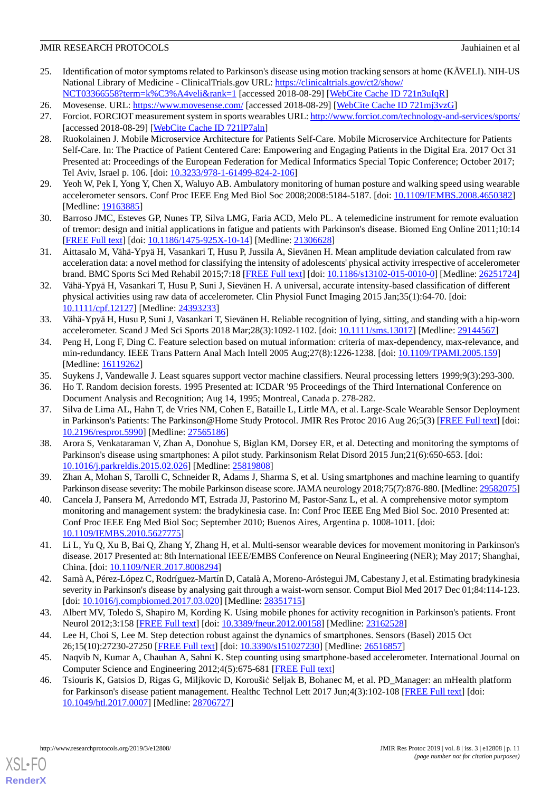- <span id="page-10-0"></span>25. Identification of motor symptoms related to Parkinson's disease using motion tracking sensors at home (KÄVELI). NIH-US National Library of Medicine - ClinicalTrials.gov URL: [https://clinicaltrials.gov/ct2/show/](https://clinicaltrials.gov/ct2/show/NCT03366558?term=k%C3%A4veli&rank=1)
- <span id="page-10-1"></span>[NCT03366558?term=k%C3%A4veli&rank=1](https://clinicaltrials.gov/ct2/show/NCT03366558?term=k%C3%A4veli&rank=1) [accessed 2018-08-29] [[WebCite Cache ID 721n3uIqR](http://www.webcitation.org/

                                            721n3uIqR)]
- <span id="page-10-2"></span>26. Movesense. URL: <https://www.movesense.com/> [accessed 2018-08-29] [[WebCite Cache ID 721mj3vzG](http://www.webcitation.org/

                                            721mj3vzG)]
- <span id="page-10-3"></span>27. Forciot. FORCIOT measurement system in sports wearables URL:<http://www.forciot.com/technology-and-services/sports/> [accessed 2018-08-29] [\[WebCite Cache ID 721lP7aln\]](http://www.webcitation.org/

                                            721lP7aln)
- 28. Ruokolainen J. Mobile Microservice Architecture for Patients Self-Care. Mobile Microservice Architecture for Patients Self-Care. In: The Practice of Patient Centered Care: Empowering and Engaging Patients in the Digital Era. 2017 Oct 31 Presented at: Proceedings of the European Federation for Medical Informatics Special Topic Conference; October 2017; Tel Aviv, Israel p. 106. [doi: [10.3233/978-1-61499-824-2-106](http://dx.doi.org/10.3233/978-1-61499-824-2-106)]
- <span id="page-10-5"></span><span id="page-10-4"></span>29. Yeoh W, Pek I, Yong Y, Chen X, Waluyo AB. Ambulatory monitoring of human posture and walking speed using wearable accelerometer sensors. Conf Proc IEEE Eng Med Biol Soc 2008;2008:5184-5187. [doi: [10.1109/IEMBS.2008.4650382\]](http://dx.doi.org/10.1109/IEMBS.2008.4650382) [Medline: [19163885](http://www.ncbi.nlm.nih.gov/entrez/query.fcgi?cmd=Retrieve&db=PubMed&list_uids=19163885&dopt=Abstract)]
- <span id="page-10-6"></span>30. Barroso JMC, Esteves GP, Nunes TP, Silva LMG, Faria ACD, Melo PL. A telemedicine instrument for remote evaluation of tremor: design and initial applications in fatigue and patients with Parkinson's disease. Biomed Eng Online 2011;10:14 [[FREE Full text](http://www.biomedcentral.com/1475-925X/10/14)] [doi: [10.1186/1475-925X-10-14\]](http://dx.doi.org/10.1186/1475-925X-10-14) [Medline: [21306628\]](http://www.ncbi.nlm.nih.gov/entrez/query.fcgi?cmd=Retrieve&db=PubMed&list_uids=21306628&dopt=Abstract)
- <span id="page-10-7"></span>31. Aittasalo M, Vähä-Ypyä H, Vasankari T, Husu P, Jussila A, Sievänen H. Mean amplitude deviation calculated from raw acceleration data: a novel method for classifying the intensity of adolescents' physical activity irrespective of accelerometer brand. BMC Sports Sci Med Rehabil 2015;7:18 [\[FREE Full text](http://bmcsportsscimedrehabil.biomedcentral.com/articles/10.1186/s13102-015-0010-0)] [doi: [10.1186/s13102-015-0010-0](http://dx.doi.org/10.1186/s13102-015-0010-0)] [Medline: [26251724](http://www.ncbi.nlm.nih.gov/entrez/query.fcgi?cmd=Retrieve&db=PubMed&list_uids=26251724&dopt=Abstract)]
- <span id="page-10-8"></span>32. Vähä-Ypyä H, Vasankari T, Husu P, Suni J, Sievänen H. A universal, accurate intensity-based classification of different physical activities using raw data of accelerometer. Clin Physiol Funct Imaging 2015 Jan;35(1):64-70. [doi: [10.1111/cpf.12127](http://dx.doi.org/10.1111/cpf.12127)] [Medline: [24393233\]](http://www.ncbi.nlm.nih.gov/entrez/query.fcgi?cmd=Retrieve&db=PubMed&list_uids=24393233&dopt=Abstract)
- <span id="page-10-9"></span>33. Vähä-Ypyä H, Husu P, Suni J, Vasankari T, Sievänen H. Reliable recognition of lying, sitting, and standing with a hip-worn accelerometer. Scand J Med Sci Sports 2018 Mar;28(3):1092-1102. [doi: [10.1111/sms.13017\]](http://dx.doi.org/10.1111/sms.13017) [Medline: [29144567\]](http://www.ncbi.nlm.nih.gov/entrez/query.fcgi?cmd=Retrieve&db=PubMed&list_uids=29144567&dopt=Abstract)
- <span id="page-10-11"></span><span id="page-10-10"></span>34. Peng H, Long F, Ding C. Feature selection based on mutual information: criteria of max-dependency, max-relevance, and min-redundancy. IEEE Trans Pattern Anal Mach Intell 2005 Aug;27(8):1226-1238. [doi: [10.1109/TPAMI.2005.159\]](http://dx.doi.org/10.1109/TPAMI.2005.159) [Medline: [16119262](http://www.ncbi.nlm.nih.gov/entrez/query.fcgi?cmd=Retrieve&db=PubMed&list_uids=16119262&dopt=Abstract)]
- <span id="page-10-12"></span>35. Suykens J, Vandewalle J. Least squares support vector machine classifiers. Neural processing letters 1999;9(3):293-300.
- 36. Ho T. Random decision forests. 1995 Presented at: ICDAR '95 Proceedings of the Third International Conference on Document Analysis and Recognition; Aug 14, 1995; Montreal, Canada p. 278-282.
- 37. Silva de Lima AL, Hahn T, de Vries NM, Cohen E, Bataille L, Little MA, et al. Large-Scale Wearable Sensor Deployment in Parkinson's Patients: The Parkinson@Home Study Protocol. JMIR Res Protoc 2016 Aug 26;5(3) [[FREE Full text](http://www.researchprotocols.org/2016/3/e172/)] [doi: [10.2196/resprot.5990](http://dx.doi.org/10.2196/resprot.5990)] [Medline: [27565186\]](http://www.ncbi.nlm.nih.gov/entrez/query.fcgi?cmd=Retrieve&db=PubMed&list_uids=27565186&dopt=Abstract)
- <span id="page-10-14"></span><span id="page-10-13"></span>38. Arora S, Venkataraman V, Zhan A, Donohue S, Biglan KM, Dorsey ER, et al. Detecting and monitoring the symptoms of Parkinson's disease using smartphones: A pilot study. Parkinsonism Relat Disord 2015 Jun;21(6):650-653. [doi: [10.1016/j.parkreldis.2015.02.026\]](http://dx.doi.org/10.1016/j.parkreldis.2015.02.026) [Medline: [25819808](http://www.ncbi.nlm.nih.gov/entrez/query.fcgi?cmd=Retrieve&db=PubMed&list_uids=25819808&dopt=Abstract)]
- 39. Zhan A, Mohan S, Tarolli C, Schneider R, Adams J, Sharma S, et al. Using smartphones and machine learning to quantify Parkinson disease severity: The mobile Parkinson disease score. JAMA neurology 2018;75(7):876-880. [Medline: [29582075\]](http://www.ncbi.nlm.nih.gov/entrez/query.fcgi?cmd=Retrieve&db=PubMed&list_uids=29582075&dopt=Abstract)
- <span id="page-10-15"></span>40. Cancela J, Pansera M, Arredondo MT, Estrada JJ, Pastorino M, Pastor-Sanz L, et al. A comprehensive motor symptom monitoring and management system: the bradykinesia case. In: Conf Proc IEEE Eng Med Biol Soc. 2010 Presented at: Conf Proc IEEE Eng Med Biol Soc; September 2010; Buenos Aires, Argentina p. 1008-1011. [doi: [10.1109/IEMBS.2010.5627775](http://dx.doi.org/10.1109/IEMBS.2010.5627775)]
- <span id="page-10-16"></span>41. Li L, Yu Q, Xu B, Bai Q, Zhang Y, Zhang H, et al. Multi-sensor wearable devices for movement monitoring in Parkinson's disease. 2017 Presented at: 8th International IEEE/EMBS Conference on Neural Engineering (NER); May 2017; Shanghai, China. [doi: [10.1109/NER.2017.8008294](http://dx.doi.org/10.1109/NER.2017.8008294)]
- <span id="page-10-17"></span>42. Samà A, Pérez-López C, Rodríguez-Martín D, Català A, Moreno-Aróstegui JM, Cabestany J, et al. Estimating bradykinesia severity in Parkinson's disease by analysing gait through a waist-worn sensor. Comput Biol Med 2017 Dec 01;84:114-123. [doi: [10.1016/j.compbiomed.2017.03.020](http://dx.doi.org/10.1016/j.compbiomed.2017.03.020)] [Medline: [28351715\]](http://www.ncbi.nlm.nih.gov/entrez/query.fcgi?cmd=Retrieve&db=PubMed&list_uids=28351715&dopt=Abstract)
- <span id="page-10-18"></span>43. Albert MV, Toledo S, Shapiro M, Kording K. Using mobile phones for activity recognition in Parkinson's patients. Front Neurol 2012;3:158 [\[FREE Full text\]](https://dx.doi.org/10.3389/fneur.2012.00158) [doi: [10.3389/fneur.2012.00158\]](http://dx.doi.org/10.3389/fneur.2012.00158) [Medline: [23162528](http://www.ncbi.nlm.nih.gov/entrez/query.fcgi?cmd=Retrieve&db=PubMed&list_uids=23162528&dopt=Abstract)]
- 44. Lee H, Choi S, Lee M. Step detection robust against the dynamics of smartphones. Sensors (Basel) 2015 Oct 26;15(10):27230-27250 [[FREE Full text](http://www.mdpi.com/resolver?pii=s151027230)] [doi: [10.3390/s151027230\]](http://dx.doi.org/10.3390/s151027230) [Medline: [26516857\]](http://www.ncbi.nlm.nih.gov/entrez/query.fcgi?cmd=Retrieve&db=PubMed&list_uids=26516857&dopt=Abstract)
- 45. Naqvib N, Kumar A, Chauhan A, Sahni K. Step counting using smartphone-based accelerometer. International Journal on Computer Science and Engineering 2012;4(5):675-681 [\[FREE Full text\]](https://www.researchgate.net/publication/265574511_Step_Counting_Using_Smartphone-Based_Accelerometer)
- 46. Tsiouris K, Gatsios D, Rigas G, Miljkovic D, Koroušić Seljak B, Bohanec M, et al. PD\_Manager: an mHealth platform for Parkinson's disease patient management. Healthc Technol Lett 2017 Jun;4(3):102-108 [\[FREE Full text\]](http://europepmc.org/abstract/MED/28706727) [doi: [10.1049/htl.2017.0007](http://dx.doi.org/10.1049/htl.2017.0007)] [Medline: [28706727](http://www.ncbi.nlm.nih.gov/entrez/query.fcgi?cmd=Retrieve&db=PubMed&list_uids=28706727&dopt=Abstract)]